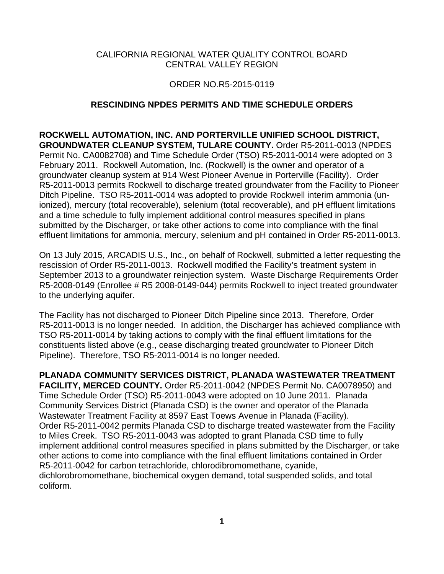## CALIFORNIA REGIONAL WATER QUALITY CONTROL BOARD CENTRAL VALLEY REGION

## ORDER NO.R5-2015-0119

## **RESCINDING NPDES PERMITS AND TIME SCHEDULE ORDERS**

**ROCKWELL AUTOMATION, INC. AND PORTERVILLE UNIFIED SCHOOL DISTRICT, GROUNDWATER CLEANUP SYSTEM, TULARE COUNTY.** Order R5-2011-0013 (NPDES Permit No. CA0082708) and Time Schedule Order (TSO) R5-2011-0014 were adopted on 3 February 2011. Rockwell Automation, Inc. (Rockwell) is the owner and operator of a groundwater cleanup system at 914 West Pioneer Avenue in Porterville (Facility). Order R5-2011-0013 permits Rockwell to discharge treated groundwater from the Facility to Pioneer Ditch Pipeline. TSO R5-2011-0014 was adopted to provide Rockwell interim ammonia (unionized), mercury (total recoverable), selenium (total recoverable), and pH effluent limitations and a time schedule to fully implement additional control measures specified in plans submitted by the Discharger, or take other actions to come into compliance with the final effluent limitations for ammonia, mercury, selenium and pH contained in Order R5-2011-0013.

On 13 July 2015, ARCADIS U.S., Inc., on behalf of Rockwell, submitted a letter requesting the rescission of Order R5-2011-0013. Rockwell modified the Facility's treatment system in September 2013 to a groundwater reinjection system. Waste Discharge Requirements Order R5-2008-0149 (Enrollee # R5 2008-0149-044) permits Rockwell to inject treated groundwater to the underlying aquifer.

The Facility has not discharged to Pioneer Ditch Pipeline since 2013. Therefore, Order R5-2011-0013 is no longer needed. In addition, the Discharger has achieved compliance with TSO R5-2011-0014 by taking actions to comply with the final effluent limitations for the constituents listed above (e.g., cease discharging treated groundwater to Pioneer Ditch Pipeline). Therefore, TSO R5-2011-0014 is no longer needed.

**PLANADA COMMUNITY SERVICES DISTRICT, PLANADA WASTEWATER TREATMENT FACILITY, MERCED COUNTY.** Order R5-2011-0042 (NPDES Permit No. CA0078950) and Time Schedule Order (TSO) R5-2011-0043 were adopted on 10 June 2011. Planada Community Services District (Planada CSD) is the owner and operator of the Planada Wastewater Treatment Facility at 8597 East Toews Avenue in Planada (Facility). Order R5-2011-0042 permits Planada CSD to discharge treated wastewater from the Facility to Miles Creek. TSO R5-2011-0043 was adopted to grant Planada CSD time to fully implement additional control measures specified in plans submitted by the Discharger, or take other actions to come into compliance with the final effluent limitations contained in Order R5-2011-0042 for carbon tetrachloride, chlorodibromomethane, cyanide, dichlorobromomethane, biochemical oxygen demand, total suspended solids, and total coliform.